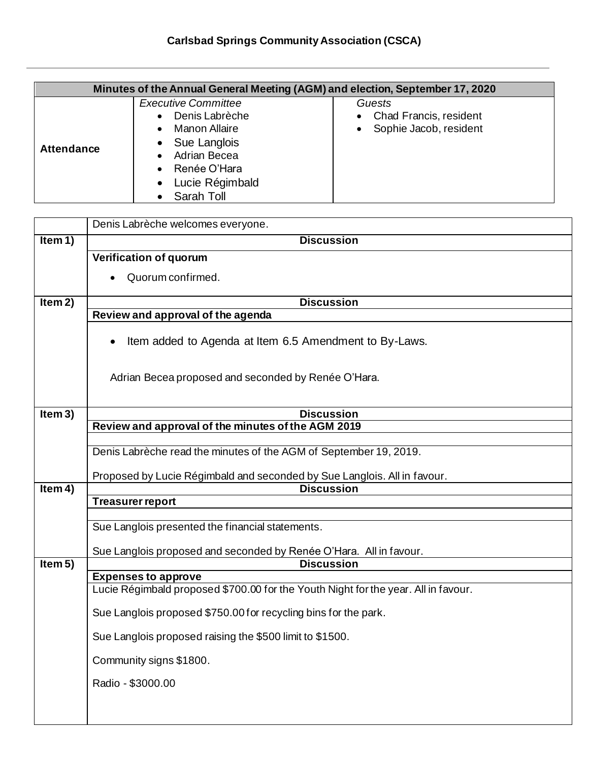| Minutes of the Annual General Meeting (AGM) and election, September 17, 2020 |                                                                                                                                                |                                                                                             |
|------------------------------------------------------------------------------|------------------------------------------------------------------------------------------------------------------------------------------------|---------------------------------------------------------------------------------------------|
| <b>Attendance</b>                                                            | <b>Executive Committee</b><br>Denis Labrèche<br>Manon Allaire<br>Sue Langlois<br>Adrian Becea<br>Renée O'Hara<br>Lucie Régimbald<br>Sarah Toll | Guests<br><b>Chad Francis, resident</b><br>$\bullet$<br>Sophie Jacob, resident<br>$\bullet$ |

|           | Denis Labrèche welcomes everyone.                                                  |  |  |
|-----------|------------------------------------------------------------------------------------|--|--|
| Item $1)$ | <b>Discussion</b>                                                                  |  |  |
|           | <b>Verification of quorum</b>                                                      |  |  |
|           | Quorum confirmed.                                                                  |  |  |
|           |                                                                                    |  |  |
| Item 2)   | <b>Discussion</b>                                                                  |  |  |
|           | Review and approval of the agenda                                                  |  |  |
|           | Item added to Agenda at Item 6.5 Amendment to By-Laws.                             |  |  |
|           | Adrian Becea proposed and seconded by Renée O'Hara.                                |  |  |
| Item 3)   | <b>Discussion</b>                                                                  |  |  |
|           | Review and approval of the minutes of the AGM 2019                                 |  |  |
|           |                                                                                    |  |  |
|           | Denis Labrèche read the minutes of the AGM of September 19, 2019.                  |  |  |
|           | Proposed by Lucie Régimbald and seconded by Sue Langlois. All in favour.           |  |  |
| Item $4)$ | <b>Discussion</b>                                                                  |  |  |
|           | <b>Treasurer report</b>                                                            |  |  |
|           |                                                                                    |  |  |
|           | Sue Langlois presented the financial statements.                                   |  |  |
|           | Sue Langlois proposed and seconded by Renée O'Hara. All in favour.                 |  |  |
| Item 5)   | <b>Discussion</b>                                                                  |  |  |
|           | <b>Expenses to approve</b>                                                         |  |  |
|           | Lucie Régimbald proposed \$700.00 for the Youth Night for the year. All in favour. |  |  |
|           | Sue Langlois proposed \$750.00 for recycling bins for the park.                    |  |  |
|           | Sue Langlois proposed raising the \$500 limit to \$1500.                           |  |  |
|           | Community signs \$1800.                                                            |  |  |
|           | Radio - \$3000.00                                                                  |  |  |
|           |                                                                                    |  |  |
|           |                                                                                    |  |  |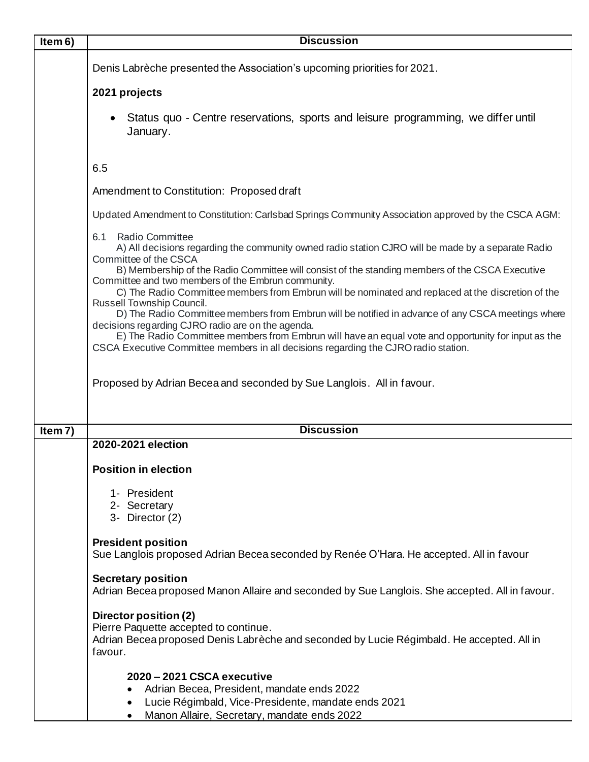| Item 6) | <b>Discussion</b>                                                                                                                                                                                                                                                                                                                                    |  |  |
|---------|------------------------------------------------------------------------------------------------------------------------------------------------------------------------------------------------------------------------------------------------------------------------------------------------------------------------------------------------------|--|--|
|         | Denis Labrèche presented the Association's upcoming priorities for 2021.                                                                                                                                                                                                                                                                             |  |  |
|         | 2021 projects                                                                                                                                                                                                                                                                                                                                        |  |  |
|         | Status quo - Centre reservations, sports and leisure programming, we differ until<br>January.                                                                                                                                                                                                                                                        |  |  |
|         | 6.5                                                                                                                                                                                                                                                                                                                                                  |  |  |
|         | Amendment to Constitution: Proposed draft                                                                                                                                                                                                                                                                                                            |  |  |
|         | Updated Amendment to Constitution: Carlsbad Springs Community Association approved by the CSCA AGM:                                                                                                                                                                                                                                                  |  |  |
|         | 6.1 Radio Committee<br>A) All decisions regarding the community owned radio station CJRO will be made by a separate Radio<br>Committee of the CSCA                                                                                                                                                                                                   |  |  |
|         | B) Membership of the Radio Committee will consist of the standing members of the CSCA Executive<br>Committee and two members of the Embrun community.                                                                                                                                                                                                |  |  |
|         | C) The Radio Committee members from Embrun will be nominated and replaced at the discretion of the<br>Russell Township Council.                                                                                                                                                                                                                      |  |  |
|         | D) The Radio Committee members from Embrun will be notified in advance of any CSCA meetings where<br>decisions regarding CJRO radio are on the agenda.<br>E) The Radio Committee members from Embrun will have an equal vote and opportunity for input as the<br>CSCA Executive Committee members in all decisions regarding the CJRO radio station. |  |  |
|         | Proposed by Adrian Becea and seconded by Sue Langlois. All in favour.                                                                                                                                                                                                                                                                                |  |  |
| Item 7) | <b>Discussion</b>                                                                                                                                                                                                                                                                                                                                    |  |  |
|         | 2020-2021 election                                                                                                                                                                                                                                                                                                                                   |  |  |
|         | <b>Position in election</b>                                                                                                                                                                                                                                                                                                                          |  |  |
|         | 1- President<br>2- Secretary                                                                                                                                                                                                                                                                                                                         |  |  |
|         | 3- Director (2)                                                                                                                                                                                                                                                                                                                                      |  |  |
|         | <b>President position</b><br>Sue Langlois proposed Adrian Becea seconded by Renée O'Hara. He accepted. All in favour                                                                                                                                                                                                                                 |  |  |
|         | <b>Secretary position</b><br>Adrian Becea proposed Manon Allaire and seconded by Sue Langlois. She accepted. All in favour.                                                                                                                                                                                                                          |  |  |
|         | Director position (2)<br>Pierre Paquette accepted to continue.<br>Adrian Becea proposed Denis Labrèche and seconded by Lucie Régimbald. He accepted. All in<br>favour.                                                                                                                                                                               |  |  |
|         | 2020 - 2021 CSCA executive<br>Adrian Becea, President, mandate ends 2022<br>$\bullet$<br>Lucie Régimbald, Vice-Presidente, mandate ends 2021<br>٠<br>Manon Allaire, Secretary, mandate ends 2022                                                                                                                                                     |  |  |